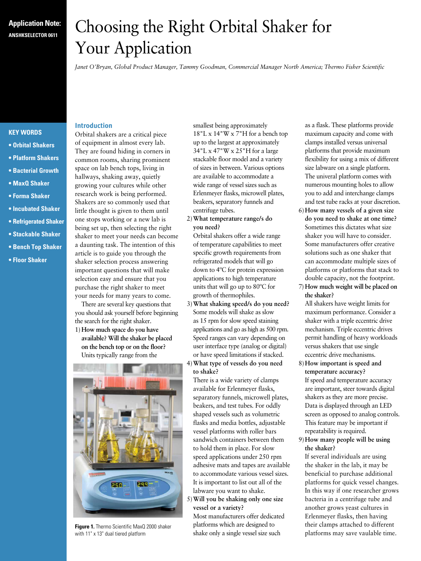## **Application Note: ANSHKSELECTOR 0611**

# Choosing the Right Orbital Shaker for Your Application

*Janet O'Bryan, Global Product Manager, Tammy Goodman, Commercial Manager North America; Thermo Fisher Scientific*

#### **KEY WORDS**

- **• Orbital Shakers**
- **• Platform Shakers**
- **• Bacterial Growth**
- **• MaxQ Shaker**
- **• Forma Shaker**
- **• Incubated Shaker**
- **• Refrigerated Shaker**
- **• Stackable Shaker**
- **• Bench Top Shaker**
- **• Floor Shaker**

### **Introduction**

Orbital shakers are a critical piece of equipment in almost every lab. They are found hiding in corners in common rooms, sharing prominent space on lab bench tops, living in hallways, shaking away, quietly growing your cultures while other research work is being performed. Shakers are so commonly used that little thought is given to them until one stops working or a new lab is being set up, then selecting the right shaker to meet your needs can become a daunting task. The intention of this article is to guide you through the shaker selection process answering important questions that will make selection easy and ensure that you purchase the right shaker to meet your needs for many years to come.

There are several key questions that you should ask yourself before beginning the search for the right shaker.

1) **How much space do you have available? Will the shaker be placed on the bench top or on the floor?** Units typically range from the



**Figure 1.** Thermo Scientific MaxQ 2000 shaker with 11" x 13" dual tiered platform

smallest being approximately 18"L x 14"W x 7"H for a bench top up to the largest at approximately 34"L x 47"W x 25"H for a large stackable floor model and a variety of sizes in between. Various options are available to accommodate a wide range of vessel sizes such as Erlenmeyer flasks, microwell plates, beakers, separatory funnels and centrifuge tubes.

2)**What temperature range/s do you need?** 

Orbital shakers offer a wide range of temperature capabilities to meet specific growth requirements from refrigerated models that will go down to 4ºC for protein expression applications to high temperature units that will go up to 80ºC for growth of thermophiles.

- 3)**What shaking speed/s do you need?**  Some models will shake as slow as 15 rpm for slow speed staining applications and go as high as 500 rpm. Speed ranges can vary depending on user interface type (analog or digital) or have speed limitations if stacked. 4)**What type of vessels do you need**
- **to shake?**

There is a wide variety of clamps available for Erlenmeyer flasks, separatory funnels, microwell plates, beakers, and test tubes. For oddly shaped vessels such as volumetric flasks and media bottles, adjustable vessel platforms with roller bars sandwich containers between them to hold them in place. For slow speed applications under 250 rpm adhesive mats and tapes are available to accommodate various vessel sizes. It is important to list out all of the labware you want to shake.

5)**Will you be shaking only one size vessel or a variety?**  Most manufacturers offer dedicated

platforms which are designed to shake only a single vessel size such as a flask. These platforms provide maximum capacity and come with clamps installed versus universal platforms that provide maximum flexibility for using a mix of different size labware on a single platform. The univeral platform comes with numerous mounting holes to allow you to add and interchange clamps and test tube racks at your discretion.

- 6)**How many vessels of a given size do you need to shake at one time?** Sometimes this dictates what size shaker you will have to consider. Some manufacturers offer creative solutions such as one shaker that can accommodate multiple sizes of platforms or platforms that stack to double capacity, not the footprint.
- 7) **How much weight will be placed on the shaker?**

All shakers have weight limits for maximum performance. Consider a shaker with a triple eccentric drive mechanism. Triple eccentric drives permit handling of heavy workloads versus shakers that use single eccentric drive mechanisms.

- 8)**How important is speed and temperature accuracy?**  If speed and temperature accuracy are important, steer towards digital shakers as they are more precise. Data is displayed through an LED screen as opposed to analog controls. This feature may be important if repeatability is required.
- 9)**How many people will be using the shaker?**

If several individuals are using the shaker in the lab, it may be beneficial to purchase additional platforms for quick vessel changes. In this way if one researcher grows bacteria in a centrifuge tube and another grows yeast cultures in Erlenmeyer flasks, then having their clamps attached to different platforms may save vaulable time.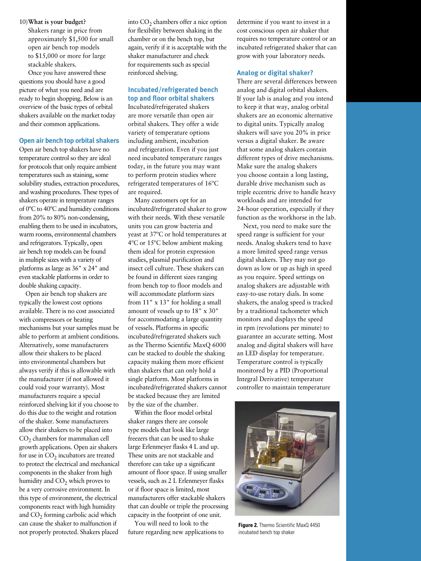10)**What is your budget?** Shakers range in price from approximately \$1,500 for small

open air bench top models to \$15,000 or more for large stackable shakers.

Once you have answered these questions you should have a good picture of what you need and are ready to begin shopping. Below is an overview of the basic types of orbital shakers available on the market today and their common applications.

#### **Open air bench top orbital shakers**

Open air bench top shakers have no temperature control so they are ideal for protocols that only require ambient temperatures such as staining, some solubility studies, extraction procedures, and washing procedures. These types of shakers operate in temperature ranges of 0ºC to 40ºC and humidity conditions from 20% to 80% non-condensing, enabling them to be used in incubators, warm rooms, environmental chambers and refrigerators. Typically, open air bench top models can be found in multiple sizes with a variety of platforms as large as 36" x 24" and even stackable platforms in order to double shaking capacity.

Open air bench top shakers are typically the lowest cost options available. There is no cost associated with compressors or heating mechanisms but your samples must be able to perform at ambient conditions. Alternatively, some manufacturers allow their shakers to be placed into environmental chambers but always verify if this is allowable with the manufacturer (if not allowed it could void your warranty). Most manufacturers require a special reinforced shelving kit if you choose to do this due to the weight and rotation of the shaker. Some manufacturers allow their shakers to be placed into CO<sub>2</sub> chambers for mammalian cell growth applications. Open air shakers for use in  $CO<sub>2</sub>$  incubators are treated to protect the electrical and mechanical components in the shaker from high humidity and CO<sub>2</sub> which proves to be a very corrosive environment. In this type of environment, the electrical components react with high humidity and  $CO<sub>2</sub>$  forming carbolic acid which can cause the shaker to malfunction if not properly protected. Shakers placed

into  $CO<sub>2</sub>$  chambers offer a nice option for flexibility between shaking in the chamber or on the bench top, but again, verify if it is acceptable with the shaker manufacturer and check for requirements such as special reinforced shelving.

#### **Incubated/refrigerated bench top and floor orbital shakers**

Incubated/refrigerated shakers are more versatile than open air orbital shakers. They offer a wide variety of temperature options including ambient, incubation and refrigeration. Even if you just need incubated temperature ranges today, in the future you may want to perform protein studies where refrigerated temperatures of 16ºC are required.

Many customers opt for an incubated/refrigerated shaker to grow with their needs. With these versatile units you can grow bacteria and yeast at 37ºC or hold temperatures at 4ºC or 15ºC below ambient making them ideal for protein expression studies, plasmid purification and insect cell culture. These shakers can be found in different sizes ranging from bench top to floor models and will accommodate platform sizes from 11" x 13" for holding a small amount of vessels up to 18" x 30" for accommodating a large quantity of vessels. Platforms in specific incubated/refrigerated shakers such as the Thermo Scientific MaxQ 6000 can be stacked to double the shaking capacity making them more efficient than shakers that can only hold a single platform. Most platforms in incubated/refrigerated shakers cannot be stacked because they are limited by the size of the chamber.

Within the floor model orbital shaker ranges there are console type models that look like large freezers that can be used to shake large Erlenmeyer flasks 4 L and up. These units are not stackable and therefore can take up a significant amount of floor space. If using smaller vessels, such as 2 L Erlenmeyer flasks or if floor space is limited, most manufacturers offer stackable shakers that can double or triple the processing capacity in the footprint of one unit.

You will need to look to the future regarding new applications to determine if you want to invest in a cost conscious open air shaker that requires no temperature control or an incubated refrigerated shaker that can grow with your laboratory needs.

#### **Analog or digital shaker?**

There are several differences between analog and digital orbital shakers. If your lab is analog and you intend to keep it that way, analog orbital shakers are an economic alternative to digital units. Typically analog shakers will save you 20% in price versus a digital shaker. Be aware that some analog shakers contain different types of drive mechanisms. Make sure the analog shakers you choose contain a long lasting, durable drive mechanism such as triple eccentric drive to handle heavy workloads and are intended for 24-hour operation, especially if they function as the workhorse in the lab.

Next, you need to make sure the speed range is sufficient for your needs. Analog shakers tend to have a more limited speed range versus digital shakers. They may not go down as low or up as high in speed as you require. Speed settings on analog shakers are adjustable with easy-to-use rotary dials. In some shakers, the analog speed is tracked by a traditional tachometer which monitors and displays the speed in rpm (revolutions per minute) to guarantee an accurate setting. Most analog and digital shakers will have an LED display for temperature. Temperature control is typically monitored by a PID (Proportional Integral Derivative) temperature controller to maintain temperature



**Figure 2.** Thermo Scientific MaxQ 4450 incubated bench top shaker